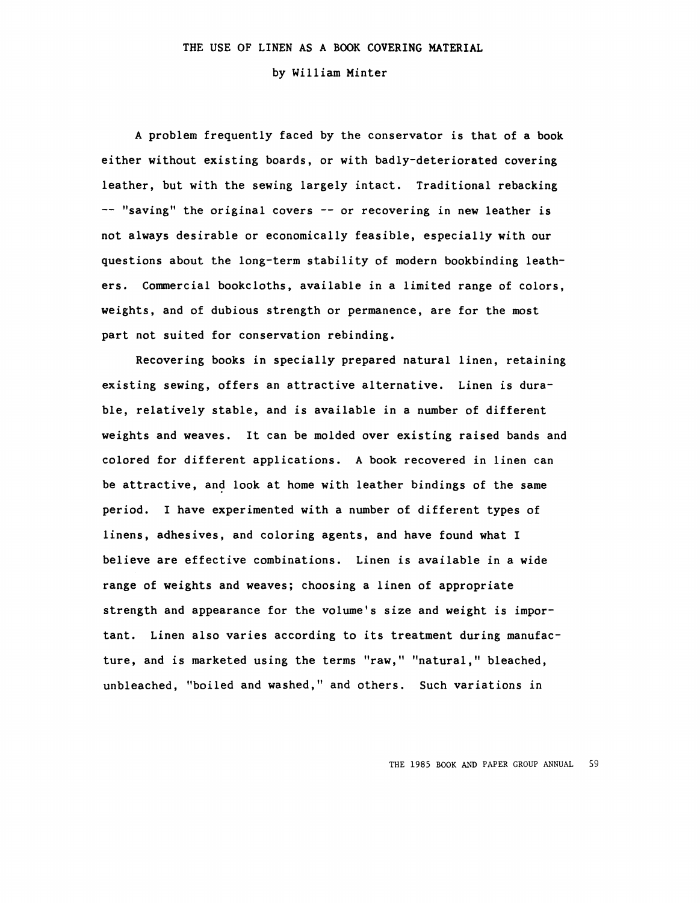by William Minter

A problem frequently faced by the conservator is that of a book either without existing boards, or with badly-deteriorated covering leather, but with the sewing largely intact. Traditional rebacking  $--$  "saving" the original covers  $--$  or recovering in new leather is not always desirable or economically feasible, especially with our questions about the long-term stability of modern bookbinding leathers. Commercial bookcloths, available in a limited range of colors. weights, and of dubious strength or permanence, are for the most part not suited for conservation rebinding.

Recovering books in specially prepared natural linen, retaining existing sewing, offers an attractive alternative. Linen is durable, relatively stable, and is available in a number of different weights and weaves. It can be molded over existing raised bands and colored for different applications. A book recovered in linen can be attractive, and look at home with leather bindings of the same period. I have experimented with a number of different types of linens, adhesives, and coloring agents, and have found what I believe are effective combinations. Linen is available in a wide range of weights and weaves; choosing a linen of appropriate strength and appearance for the volume's size and weight is important. Linen also varies according to its treatment during manufacture, and is marketed using the terms "raw," "natural," bleached, unbleached, "boiled and washed," and others. Such variations in

THE 1985 BOOK AND PAPER GROUP ANNUAL 59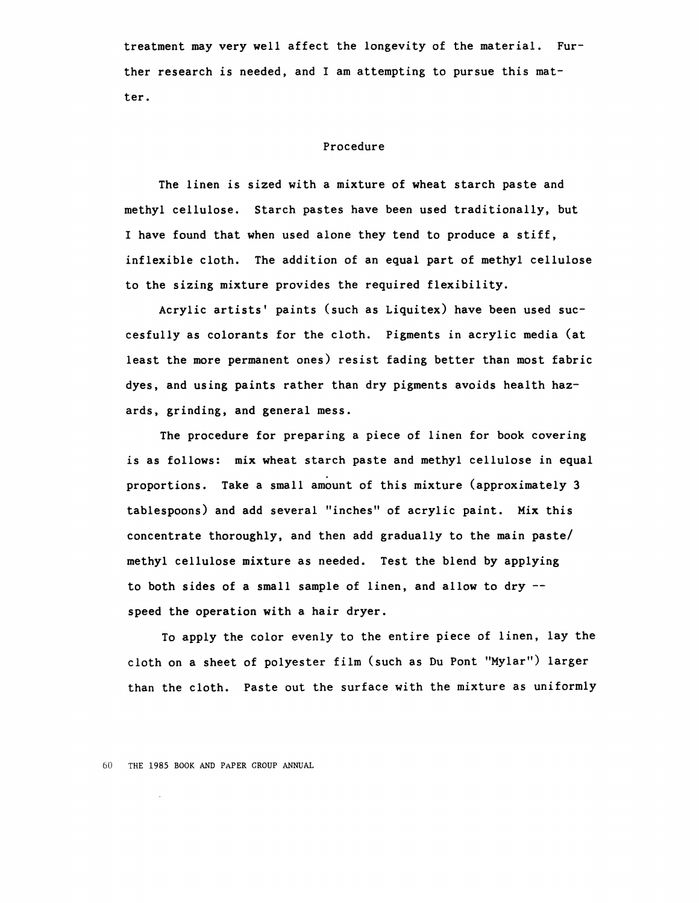treatment may very well affect the longevity of the material. Further research is needed, and I am attempting to pursue this matter.

## Procedure

The linen is sized with a mixture of wheat starch paste and methyl cellulose. Starch pastes have been used traditionally, but I have found that when used alone they tend to produce a stiff, inflexible cloth. The addition of an equal part of methyl cellulose to the sizing mixture provides the required flexibility.

Acrylic artists' paints (such as Liquitex) have been used succesfully as colorants for the cloth. Pigments in acrylic media (at least the more permanent ones) resist fading better than most fabric dyes, and using paints rather than dry pigments avoids health hazards, grinding, and general mess.

The procedure for preparing a piece of linen for book covering is as follows: mix wheat starch paste and methyl cellulose in equal proportions. Take a small amount of this mixture (approximately 3 tablespoons) and add several "inches" of acrylic paint. Mix this concentrate thoroughly, and then add gradually to the main paste/ methyl cellulose mixture as needed. Test the blend by applying to both **sides** of a small sample of linen, and allow to dry - speed the operation with a hair dryer.

To apply the color evenly to the entire piece of linen, lay the cloth on a sheet of polyester film (such as Du Pont "Mylar") larger than the cloth. Paste out the surface with the mixture as uniformly

60 THE 1985 BOOK AND PAPER CROUP ANNUAL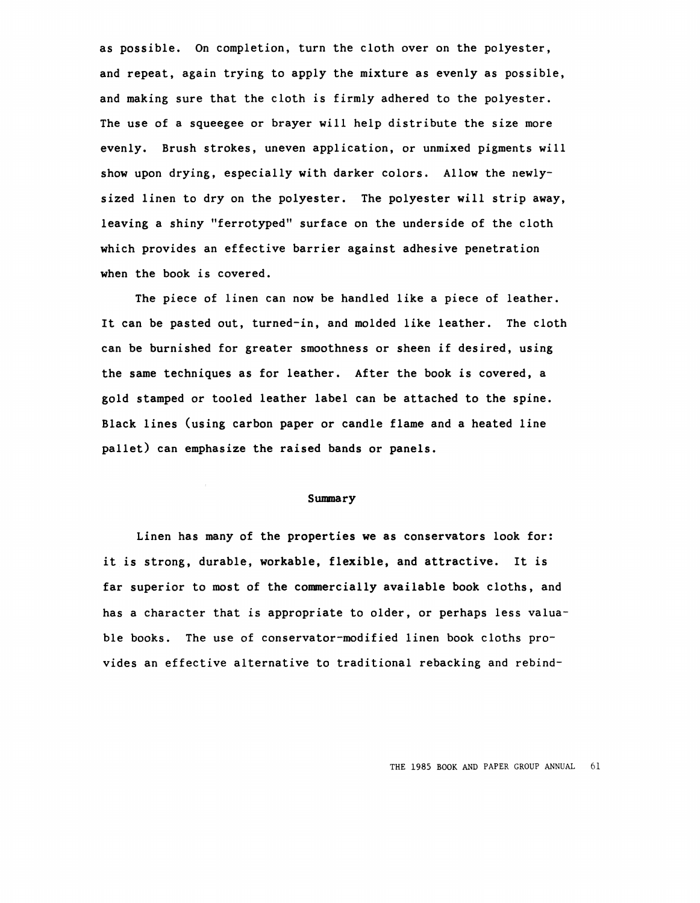as possible. On completion, turn the cloth over on the polyester, and repeat, again trying to apply the mixture as evenly as possible, and making sure that the cloth is firmly adhered to the polyester. The use of a squeegee or brayer will help distribute the size more evenly. Brush strokes, uneven application, or unmixed pigments will show upon drying, especially with darker colors. Allow the newlysized linen to dry on the polyester. The polyester will strip away, leaving a shiny "ferrotyped" surface on the underside of the cloth which provides an effective barrier against adhesive penetration when the book is covered.

The piece of linen can now be handled like a piece of leather. It can be pasted out, turned-in, and molded like leather. The cloth can be burnished for greater smoothness or sheen if desired, using the same techniques as for leather. After the book is covered, a gold stamped or tooled leather label can be attached to the spine. Black lines (using carbon paper or candle flame and a heated line pallet) can emphasize the raised bands or panels.

## **Summary**

Linen has many of the properties **we as** conservators look for: it is strong, durable, workable, flexible, and attractive. It is far superior to most of the commercially available book cloths, and has a character that is appropriate to older, or perhaps less valuable books. The use of conservator-modified linen book cloths provides an effective alternative to traditional rebacking and rebind-

THE 1985 BOOK AND PAPER GROUP ANNUAL 61